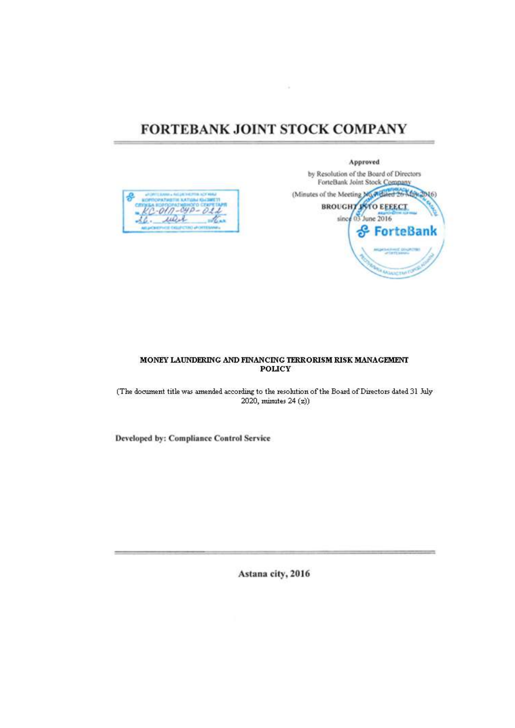# FORTEBANK JOINT STOCK COMPANY



Approved by Resolution of the Board of Directors ForteBank Joint Stock Company (Minutes of the Meeting My Adaled 26 MS) 46) **BROUGHT ANTO EFFECT** June 2016 since 6S ForteBank

## MONEY LAUNDERING AND FINANCING TERRORISM RISK MANAGEMENT **POLICY**

(The document title was amended according to the resolution of the Board of Directors dated 31 July 2020, minutes 24 (z))

Developed by: Compliance Control Service

Astana city, 2016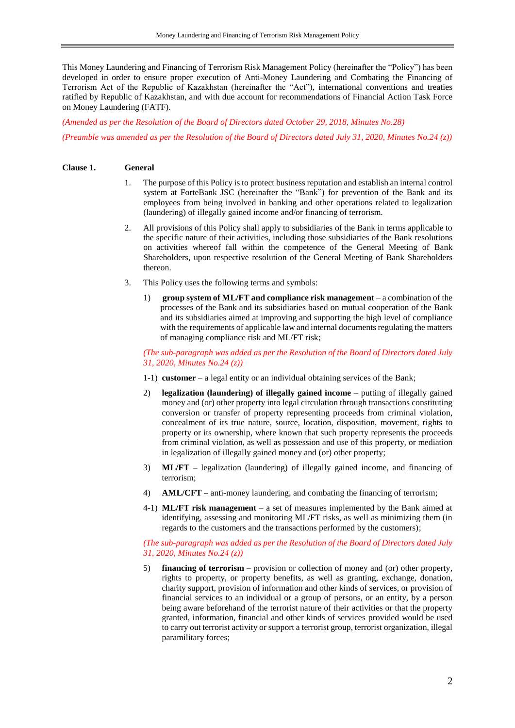This Money Laundering and Financing of Terrorism Risk Management Policy (hereinafter the "Policy") has been developed in order to ensure proper execution of Anti-Money Laundering and Combating the Financing of Terrorism Act of the Republic of Kazakhstan (hereinafter the "Act"), international conventions and treaties ratified by Republic of Kazakhstan, and with due account for recommendations of Financial Action Task Force on Money Laundering (FATF).

*(Amended as per the Resolution of the Board of Directors dated October 29, 2018, Minutes No.28) (Preamble was amended as per the Resolution of the Board of Directors dated July 31, 2020, Minutes No.24 (z))*

### **Clause 1. General**

- 1. The purpose of this Policy is to protect business reputation and establish an internal control system at ForteBank JSC (hereinafter the "Bank") for prevention of the Bank and its employees from being involved in banking and other operations related to legalization (laundering) of illegally gained income and/or financing of terrorism.
- 2. All provisions of this Policy shall apply to subsidiaries of the Bank in terms applicable to the specific nature of their activities, including those subsidiaries of the Bank resolutions on activities whereof fall within the competence of the General Meeting of Bank Shareholders, upon respective resolution of the General Meeting of Bank Shareholders thereon.
- 3. This Policy uses the following terms and symbols:
	- 1) **group system of ML/FT and compliance risk management** a combination of the processes of the Bank and its subsidiaries based on mutual cooperation of the Bank and its subsidiaries aimed at improving and supporting the high level of compliance with the requirements of applicable law and internal documents regulating the matters of managing compliance risk and ML/FT risk;

*(The sub-paragraph was added as per the Resolution of the Board of Directors dated July 31, 2020, Minutes No.24 (z))*

- 1-1) **customer** a legal entity or an individual obtaining services of the Bank;
- 2) **legalization (laundering) of illegally gained income** putting of illegally gained money and (or) other property into legal circulation through transactions constituting conversion or transfer of property representing proceeds from criminal violation, concealment of its true nature, source, location, disposition, movement, rights to property or its ownership, where known that such property represents the proceeds from criminal violation, as well as possession and use of this property, or mediation in legalization of illegally gained money and (or) other property;
- 3) **ML/FT –** legalization (laundering) of illegally gained income, and financing of terrorism;
- 4) **AML/CFT –** anti-money laundering, and combating the financing of terrorism;
- 4-1) **ML/FT risk management** a set of measures implemented by the Bank aimed at identifying, assessing and monitoring ML/FT risks, as well as minimizing them (in regards to the customers and the transactions performed by the customers);

## *(The sub-paragraph was added as per the Resolution of the Board of Directors dated July 31, 2020, Minutes No.24 (z))*

5) **financing of terrorism** – provision or collection of money and (or) other property, rights to property, or property benefits, as well as granting, exchange, donation, charity support, provision of information and other kinds of services, or provision of financial services to an individual or a group of persons, or an entity, by a person being aware beforehand of the terrorist nature of their activities or that the property granted, information, financial and other kinds of services provided would be used to carry out terrorist activity or support a terrorist group, terrorist organization, illegal paramilitary forces;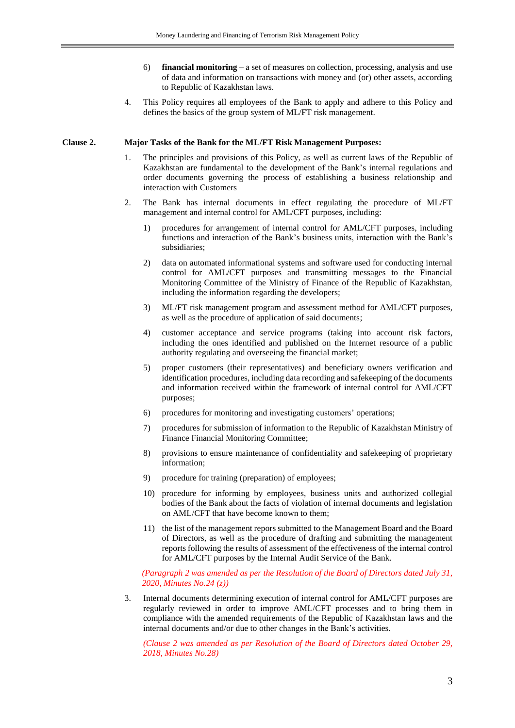- 6) **financial monitoring** a set of measures on collection, processing, analysis and use of data and information on transactions with money and (or) other assets, according to Republic of Kazakhstan laws.
- 4. This Policy requires all employees of the Bank to apply and adhere to this Policy and defines the basics of the group system of ML/FT risk management.

#### **Clause 2. Major Tasks of the Bank for the ML/FT Risk Management Purposes:**

- 1. The principles and provisions of this Policy, as well as current laws of the Republic of Kazakhstan are fundamental to the development of the Bank's internal regulations and order documents governing the process of establishing a business relationship and interaction with Customers
- 2. The Bank has internal documents in effect regulating the procedure of ML/FT management and internal control for AML/CFT purposes, including:
	- 1) procedures for arrangement of internal control for AML/CFT purposes, including functions and interaction of the Bank's business units, interaction with the Bank's subsidiaries;
	- 2) data on automated informational systems and software used for conducting internal control for AML/CFT purposes and transmitting messages to the Financial Monitoring Committee of the Ministry of Finance of the Republic of Kazakhstan, including the information regarding the developers;
	- 3) ML/FT risk management program and assessment method for AML/CFT purposes, as well as the procedure of application of said documents;
	- 4) customer acceptance and service programs (taking into account risk factors, including the ones identified and published on the Internet resource of a public authority regulating and overseeing the financial market;
	- 5) proper customers (their representatives) and beneficiary owners verification and identification procedures, including data recording and safekeeping of the documents and information received within the framework of internal control for AML/CFT purposes;
	- 6) procedures for monitoring and investigating customers' operations;
	- 7) procedures for submission of information to the Republic of Kazakhstan Ministry of Finance Financial Monitoring Committee;
	- 8) provisions to ensure maintenance of confidentiality and safekeeping of proprietary information;
	- 9) procedure for training (preparation) of employees;
	- 10) procedure for informing by employees, business units and authorized collegial bodies of the Bank about the facts of violation of internal documents and legislation on AML/CFT that have become known to them;
	- 11) the list of the management repors submitted to the Management Board and the Board of Directors, as well as the procedure of drafting and submitting the management reports following the results of assessment of the effectiveness of the internal control for AML/CFT purposes by the Internal Audit Service of the Bank.

*(Paragraph 2 was amended as per the Resolution of the Board of Directors dated July 31, 2020, Minutes No.24 (z))*

3. Internal documents determining execution of internal control for AML/CFT purposes are regularly reviewed in order to improve AML/CFT processes and to bring them in compliance with the amended requirements of the Republic of Kazakhstan laws and the internal documents and/or due to other changes in the Bank's activities.

*(Clause 2 was amended as per Resolution of the Board of Directors dated October 29, 2018, Minutes No.28)*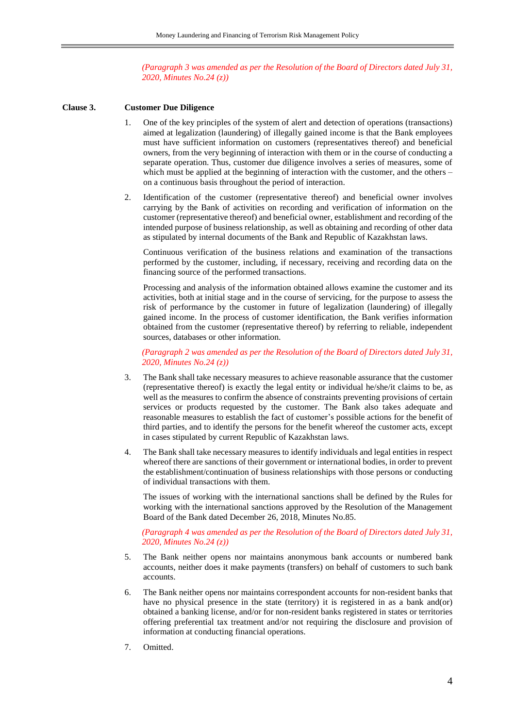## *(Paragraph 3 was amended as per the Resolution of the Board of Directors dated July 31, 2020, Minutes No.24 (z))*

#### **Clause 3. Customer Due Diligence**

- 1. One of the key principles of the system of alert and detection of operations (transactions) aimed at legalization (laundering) of illegally gained income is that the Bank employees must have sufficient information on customers (representatives thereof) and beneficial owners, from the very beginning of interaction with them or in the course of conducting a separate operation. Thus, customer due diligence involves a series of measures, some of which must be applied at the beginning of interaction with the customer, and the others – on a continuous basis throughout the period of interaction.
- 2. Identification of the customer (representative thereof) and beneficial owner involves carrying by the Bank of activities on recording and verification of information on the customer (representative thereof) and beneficial owner, establishment and recording of the intended purpose of business relationship, as well as obtaining and recording of other data as stipulated by internal documents of the Bank and Republic of Kazakhstan laws.

Continuous verification of the business relations and examination of the transactions performed by the customer, including, if necessary, receiving and recording data on the financing source of the performed transactions.

Processing and analysis of the information obtained allows examine the customer and its activities, both at initial stage and in the course of servicing, for the purpose to assess the risk of performance by the customer in future of legalization (laundering) of illegally gained income. In the process of customer identification, the Bank verifies information obtained from the customer (representative thereof) by referring to reliable, independent sources, databases or other information.

*(Paragraph 2 was amended as per the Resolution of the Board of Directors dated July 31, 2020, Minutes No.24 (z))*

- 3. The Bank shall take necessary measures to achieve reasonable assurance that the customer (representative thereof) is exactly the legal entity or individual he/she/it claims to be, as well as the measures to confirm the absence of constraints preventing provisions of certain services or products requested by the customer. The Bank also takes adequate and reasonable measures to establish the fact of customer's possible actions for the benefit of third parties, and to identify the persons for the benefit whereof the customer acts, except in cases stipulated by current Republic of Kazakhstan laws.
- 4. The Bank shall take necessary measures to identify individuals and legal entities in respect whereof there are sanctions of their government or international bodies, in order to prevent the establishment/continuation of business relationships with those persons or conducting of individual transactions with them.

The issues of working with the international sanctions shall be defined by the Rules for working with the international sanctions approved by the Resolution of the Management Board of the Bank dated December 26, 2018, Minutes No.85.

*(Paragraph 4 was amended as per the Resolution of the Board of Directors dated July 31, 2020, Minutes No.24 (z))*

- 5. The Bank neither opens nor maintains anonymous bank accounts or numbered bank accounts, neither does it make payments (transfers) on behalf of customers to such bank accounts.
- 6. The Bank neither opens nor maintains correspondent accounts for non-resident banks that have no physical presence in the state (territory) it is registered in as a bank and(or) obtained a banking license, and/or for non-resident banks registered in states or territories offering preferential tax treatment and/or not requiring the disclosure and provision of information at conducting financial operations.
- 7. Omitted.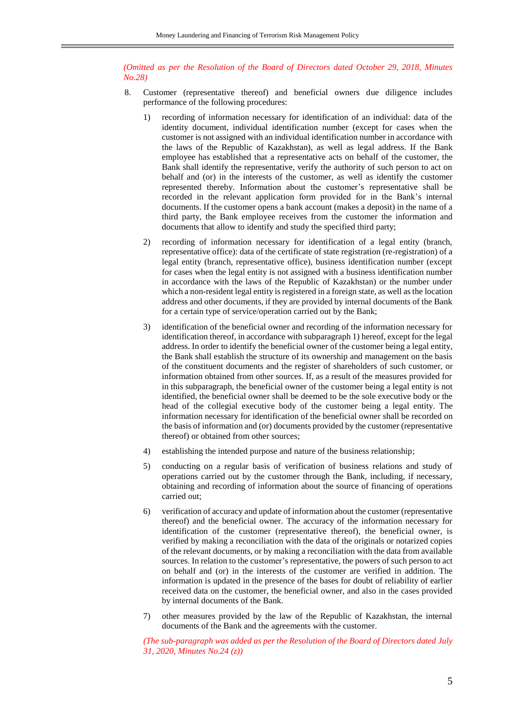*(Omitted as per the Resolution of the Board of Directors dated October 29, 2018, Minutes No.28)*

- 8. Customer (representative thereof) and beneficial owners due diligence includes performance of the following procedures:
	- 1) recording of information necessary for identification of an individual: data of the identity document, individual identification number (except for cases when the customer is not assigned with an individual identification number in accordance with the laws of the Republic of Kazakhstan), as well as legal address. If the Bank employee has established that a representative acts on behalf of the customer, the Bank shall identify the representative, verify the authority of such person to act on behalf and (or) in the interests of the customer, as well as identify the customer represented thereby. Information about the customer's representative shall be recorded in the relevant application form provided for in the Bank's internal documents. If the customer opens a bank account (makes a deposit) in the name of a third party, the Bank employee receives from the customer the information and documents that allow to identify and study the specified third party;
	- 2) recording of information necessary for identification of a legal entity (branch, representative office): data of the certificate of state registration (re-registration) of a legal entity (branch, representative office), business identification number (except for cases when the legal entity is not assigned with a business identification number in accordance with the laws of the Republic of Kazakhstan) or the number under which a non-resident legal entity is registered in a foreign state, as well as the location address and other documents, if they are provided by internal documents of the Bank for a certain type of service/operation carried out by the Bank;
	- 3) identification of the beneficial owner and recording of the information necessary for identification thereof, in accordance with subparagraph 1) hereof, except for the legal address. In order to identify the beneficial owner of the customer being a legal entity, the Bank shall establish the structure of its ownership and management on the basis of the constituent documents and the register of shareholders of such customer, or information obtained from other sources. If, as a result of the measures provided for in this subparagraph, the beneficial owner of the customer being a legal entity is not identified, the beneficial owner shall be deemed to be the sole executive body or the head of the collegial executive body of the customer being a legal entity. The information necessary for identification of the beneficial owner shall be recorded on the basis of information and (or) documents provided by the customer (representative thereof) or obtained from other sources;
	- 4) establishing the intended purpose and nature of the business relationship;
	- 5) conducting on a regular basis of verification of business relations and study of operations carried out by the customer through the Bank, including, if necessary, obtaining and recording of information about the source of financing of operations carried out;
	- 6) verification of accuracy and update of information about the customer (representative thereof) and the beneficial owner. The accuracy of the information necessary for identification of the customer (representative thereof), the beneficial owner, is verified by making a reconciliation with the data of the originals or notarized copies of the relevant documents, or by making a reconciliation with the data from available sources. In relation to the customer's representative, the powers of such person to act on behalf and (or) in the interests of the customer are verified in addition. The information is updated in the presence of the bases for doubt of reliability of earlier received data on the customer, the beneficial owner, and also in the cases provided by internal documents of the Bank.
	- 7) other measures provided by the law of the Republic of Kazakhstan, the internal documents of the Bank and the agreements with the customer.

*(The sub-paragraph was added as per the Resolution of the Board of Directors dated July 31, 2020, Minutes No.24 (z))*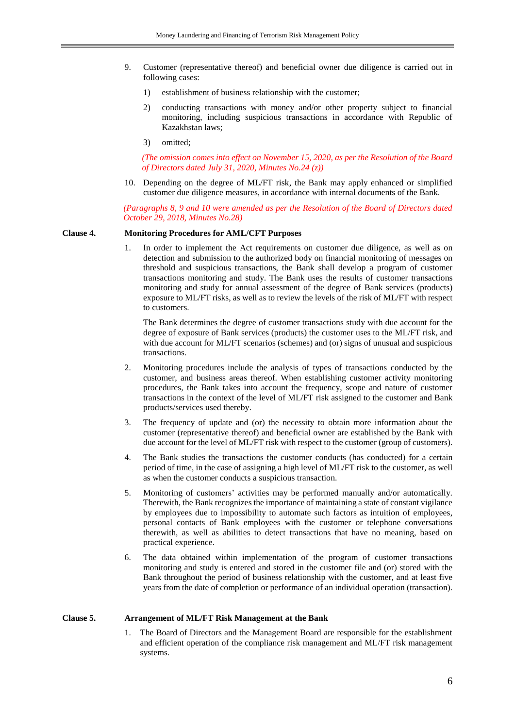- 9. Customer (representative thereof) and beneficial owner due diligence is carried out in following cases:
	- 1) establishment of business relationship with the customer;
	- 2) conducting transactions with money and/or other property subject to financial monitoring, including suspicious transactions in accordance with Republic of Kazakhstan laws;
	- 3) omitted;

*(The omission comes into effect on November 15, 2020, as per the Resolution of the Board of Directors dated July 31, 2020, Minutes No.24 (z))*

10. Depending on the degree of ML/FT risk, the Bank may apply enhanced or simplified customer due diligence measures, in accordance with internal documents of the Bank.

*(Paragraphs 8, 9 and 10 were amended as per the Resolution of the Board of Directors dated October 29, 2018, Minutes No.28)*

#### **Clause 4. Monitoring Procedures for AML/CFT Purposes**

1. In order to implement the Act requirements on customer due diligence, as well as on detection and submission to the authorized body on financial monitoring of messages on threshold and suspicious transactions, the Bank shall develop a program of customer transactions monitoring and study. The Bank uses the results of customer transactions monitoring and study for annual assessment of the degree of Bank services (products) exposure to ML/FT risks, as well as to review the levels of the risk of ML/FT with respect to customers.

The Bank determines the degree of customer transactions study with due account for the degree of exposure of Bank services (products) the customer uses to the ML/FT risk, and with due account for ML/FT scenarios (schemes) and (or) signs of unusual and suspicious transactions.

- 2. Monitoring procedures include the analysis of types of transactions conducted by the customer, and business areas thereof. When establishing customer activity monitoring procedures, the Bank takes into account the frequency, scope and nature of customer transactions in the context of the level of ML/FT risk assigned to the customer and Bank products/services used thereby.
- 3. The frequency of update and (or) the necessity to obtain more information about the customer (representative thereof) and beneficial owner are established by the Bank with due account for the level of ML/FT risk with respect to the customer (group of customers).
- 4. The Bank studies the transactions the customer conducts (has conducted) for a certain period of time, in the case of assigning a high level of ML/FT risk to the customer, as well as when the customer conducts a suspicious transaction.
- 5. Monitoring of customers' activities may be performed manually and/or automatically. Therewith, the Bank recognizes the importance of maintaining a state of constant vigilance by employees due to impossibility to automate such factors as intuition of employees, personal contacts of Bank employees with the customer or telephone conversations therewith, as well as abilities to detect transactions that have no meaning, based on practical experience.
- 6. The data obtained within implementation of the program of customer transactions monitoring and study is entered and stored in the customer file and (or) stored with the Bank throughout the period of business relationship with the customer, and at least five years from the date of completion or performance of an individual operation (transaction).

#### **Clause 5. Arrangement of ML/FT Risk Management at the Bank**

1. The Board of Directors and the Management Board are responsible for the establishment and efficient operation of the compliance risk management and ML/FT risk management systems.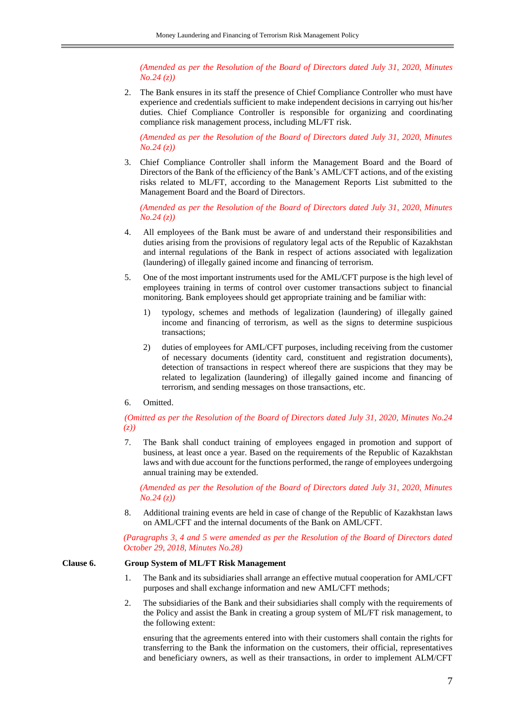*(Amended as per the Resolution of the Board of Directors dated July 31, 2020, Minutes No.24 (z))*

2. The Bank ensures in its staff the presence of Chief Compliance Controller who must have experience and credentials sufficient to make independent decisions in carrying out his/her duties. Chief Compliance Controller is responsible for organizing and coordinating compliance risk management process, including ML/FT risk.

*(Amended as per the Resolution of the Board of Directors dated July 31, 2020, Minutes No.24 (z))*

3. Chief Compliance Controller shall inform the Management Board and the Board of Directors of the Bank of the efficiency of the Bank's AML/CFT actions, and of the existing risks related to ML/FT, according to the Management Reports List submitted to the Management Board and the Board of Directors.

*(Amended as per the Resolution of the Board of Directors dated July 31, 2020, Minutes No.24 (z))*

- 4. All employees of the Bank must be aware of and understand their responsibilities and duties arising from the provisions of regulatory legal acts of the Republic of Kazakhstan and internal regulations of the Bank in respect of actions associated with legalization (laundering) of illegally gained income and financing of terrorism.
- 5. One of the most important instruments used for the AML/CFT purpose is the high level of employees training in terms of control over customer transactions subject to financial monitoring. Bank employees should get appropriate training and be familiar with:
	- 1) typology, schemes and methods of legalization (laundering) of illegally gained income and financing of terrorism, as well as the signs to determine suspicious transactions;
	- 2) duties of employees for AML/CFT purposes, including receiving from the customer of necessary documents (identity card, constituent and registration documents), detection of transactions in respect whereof there are suspicions that they may be related to legalization (laundering) of illegally gained income and financing of terrorism, and sending messages on those transactions, etc.
- 6. Omitted.

## *(Omitted as per the Resolution of the Board of Directors dated July 31, 2020, Minutes No.24 (z))*

7. The Bank shall conduct training of employees engaged in promotion and support of business, at least once a year. Based on the requirements of the Republic of Kazakhstan laws and with due account for the functions performed, the range of employees undergoing annual training may be extended.

*(Amended as per the Resolution of the Board of Directors dated July 31, 2020, Minutes No.24 (z))*

8. Additional training events are held in case of change of the Republic of Kazakhstan laws on AML/CFT and the internal documents of the Bank on AML/CFT.

*(Paragraphs 3, 4 and 5 were amended as per the Resolution of the Board of Directors dated October 29, 2018, Minutes No.28)*

## **Clause 6. Group System of ML/FT Risk Management**

- 1. The Bank and its subsidiaries shall arrange an effective mutual cooperation for AML/CFT purposes and shall exchange information and new AML/CFT methods;
- 2. The subsidiaries of the Bank and their subsidiaries shall comply with the requirements of the Policy and assist the Bank in creating a group system of ML/FT risk management, to the following extent:

ensuring that the agreements entered into with their customers shall contain the rights for transferring to the Bank the information on the customers, their official, representatives and beneficiary owners, as well as their transactions, in order to implement ALM/CFT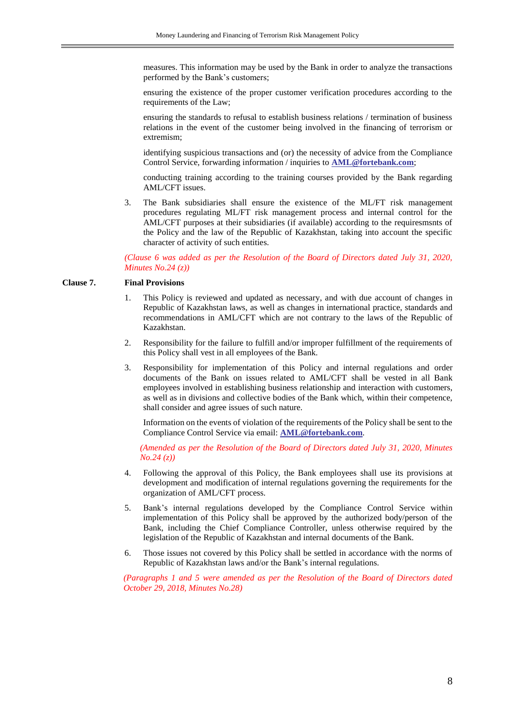measures. This information may be used by the Bank in order to analyze the transactions performed by the Bank's customers;

ensuring the existence of the proper customer verification procedures according to the requirements of the Law;

ensuring the standards to refusal to establish business relations / termination of business relations in the event of the customer being involved in the financing of terrorism or extremism;

identifying suspicious transactions and (or) the necessity of advice from the Compliance Control Service, forwarding information / inquiries to **[AML@fortebank.com](mailto:AML@fortebank.com)**;

conducting training according to the training courses provided by the Bank regarding AML/CFT issues.

3. The Bank subsidiaries shall ensure the existence of the ML/FT risk management procedures regulating ML/FT risk management process and internal control for the AML/CFT purposes at their subsidiaries (if available) according to the requiresmsnts of the Policy and the law of the Republic of Kazakhstan, taking into account the specific character of activity of such entities.

*(Clause 6 was added as per the Resolution of the Board of Directors dated July 31, 2020, Minutes No.24 (z))*

# **Clause 7. Final Provisions**

- 1. This Policy is reviewed and updated as necessary, and with due account of changes in Republic of Kazakhstan laws, as well as changes in international practice, standards and recommendations in AML/CFT which are not contrary to the laws of the Republic of Kazakhstan.
- 2. Responsibility for the failure to fulfill and/or improper fulfillment of the requirements of this Policy shall vest in all employees of the Bank.
- 3. Responsibility for implementation of this Policy and internal regulations and order documents of the Bank on issues related to AML/CFT shall be vested in all Bank employees involved in establishing business relationship and interaction with customers, as well as in divisions and collective bodies of the Bank which, within their competence, shall consider and agree issues of such nature.

Information on the events of violation of the requirements of the Policy shall be sent to the Compliance Control Service via email: **[AML@fortebank.com](mailto:AML@fortebank.com)**.

*(Amended as per the Resolution of the Board of Directors dated July 31, 2020, Minutes No.24 (z))*

- 4. Following the approval of this Policy, the Bank employees shall use its provisions at development and modification of internal regulations governing the requirements for the organization of AML/CFT process.
- 5. Bank's internal regulations developed by the Compliance Control Service within implementation of this Policy shall be approved by the authorized body/person of the Bank, including the Chief Compliance Controller, unless otherwise required by the legislation of the Republic of Kazakhstan and internal documents of the Bank.
- 6. Those issues not covered by this Policy shall be settled in accordance with the norms of Republic of Kazakhstan laws and/or the Bank's internal regulations.

*(Paragraphs 1 and 5 were amended as per the Resolution of the Board of Directors dated October 29, 2018, Minutes No.28)*